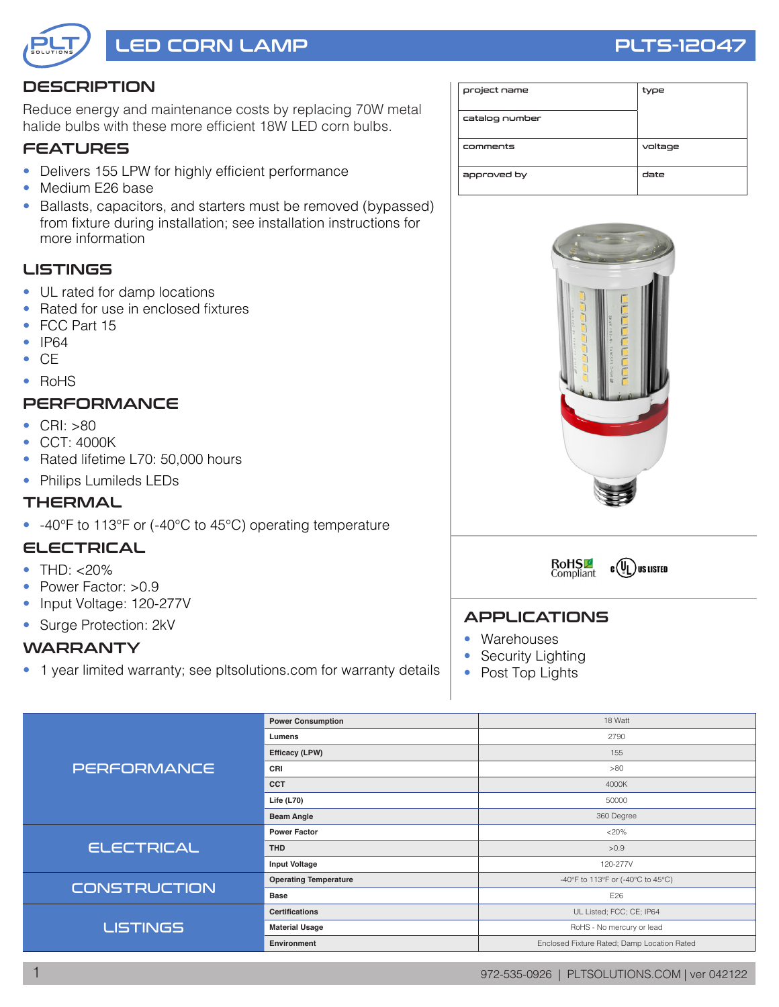

# LED CORN LAMP RESERVE THE RESERVE THAT THE PLTS-12047

# **DESCRIPTION**

Reduce energy and maintenance costs by replacing 70W metal halide bulbs with these more efficient 18W LED corn bulbs.

### **FEATURES**

- Delivers 155 LPW for highly efficient performance
- Medium E26 base
- Ballasts, capacitors, and starters must be removed (bypassed) from fixture during installation; see installation instructions for more information

### **LISTINGS**

- UL rated for damp locations
- Rated for use in enclosed fixtures
- FCC Part 15
- IP64
- CE
- RoHS

# **PERFORMANCE**

- CRI: >80
- CCT: 4000K
- Rated lifetime L70: 50,000 hours
- Philips Lumileds LEDs

#### **THERMAL**

• -40°F to 113°F or (-40°C to 45°C) operating temperature

#### ELECTRICAL

- THD: <20%
- Power Factor: >0.9
- Input Voltage: 120-277V
- Surge Protection: 2kV

#### WARRANTY

• 1 year limited warranty; see pltsolutions.com for warranty details

| project name   | type    |
|----------------|---------|
| catalog number |         |
| comments       | voltage |
| approved by    | date    |





#### APPLICATIONS

- Warehouses
- Security Lighting
- Post Top Lights

| <b>PERFORMANCE</b>  | <b>Power Consumption</b>     | 18 Watt                                     |  |  |  |
|---------------------|------------------------------|---------------------------------------------|--|--|--|
|                     | Lumens                       | 2790                                        |  |  |  |
|                     | Efficacy (LPW)               | 155                                         |  |  |  |
|                     | CRI                          | >80                                         |  |  |  |
|                     | <b>CCT</b>                   | 4000K                                       |  |  |  |
|                     | Life $(L70)$                 | 50000                                       |  |  |  |
|                     | <b>Beam Angle</b>            | 360 Degree                                  |  |  |  |
|                     | <b>Power Factor</b>          | $<20\%$                                     |  |  |  |
| <b>ELECTRICAL</b>   | <b>THD</b>                   | >0.9                                        |  |  |  |
|                     | <b>Input Voltage</b>         | 120-277V                                    |  |  |  |
| <b>CONSTRUCTION</b> | <b>Operating Temperature</b> | -40°F to 113°F or (-40°C to 45°C)           |  |  |  |
|                     | <b>Base</b>                  | E26                                         |  |  |  |
|                     | <b>Certifications</b>        | UL Listed; FCC; CE; IP64                    |  |  |  |
| <b>LISTINGS</b>     | <b>Material Usage</b>        | RoHS - No mercury or lead                   |  |  |  |
|                     | Environment                  | Enclosed Fixture Rated; Damp Location Rated |  |  |  |